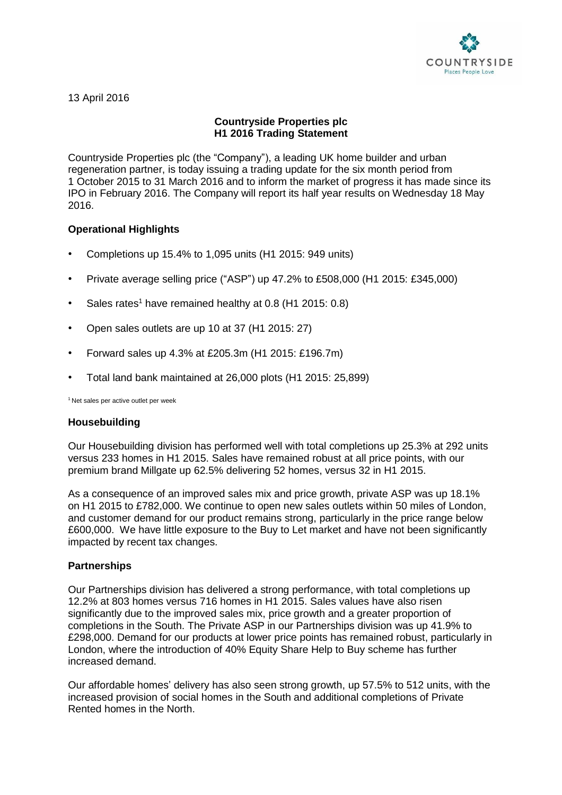

13 April 2016

# **Countryside Properties plc H1 2016 Trading Statement**

Countryside Properties plc (the "Company"), a leading UK home builder and urban regeneration partner, is today issuing a trading update for the six month period from 1 October 2015 to 31 March 2016 and to inform the market of progress it has made since its IPO in February 2016. The Company will report its half year results on Wednesday 18 May 2016.

# **Operational Highlights**

- Completions up 15.4% to 1,095 units (H1 2015: 949 units)
- Private average selling price ("ASP") up 47.2% to £508,000 (H1 2015: £345,000)
- Sales rates<sup>1</sup> have remained healthy at 0.8 (H1 2015: 0.8)
- Open sales outlets are up 10 at 37 (H1 2015: 27)
- Forward sales up 4.3% at £205.3m (H1 2015: £196.7m)
- Total land bank maintained at 26,000 plots (H1 2015: 25,899)

<sup>1</sup> Net sales per active outlet per week

# **Housebuilding**

Our Housebuilding division has performed well with total completions up 25.3% at 292 units versus 233 homes in H1 2015. Sales have remained robust at all price points, with our premium brand Millgate up 62.5% delivering 52 homes, versus 32 in H1 2015.

As a consequence of an improved sales mix and price growth, private ASP was up 18.1% on H1 2015 to £782,000. We continue to open new sales outlets within 50 miles of London, and customer demand for our product remains strong, particularly in the price range below £600,000. We have little exposure to the Buy to Let market and have not been significantly impacted by recent tax changes.

# **Partnerships**

Our Partnerships division has delivered a strong performance, with total completions up 12.2% at 803 homes versus 716 homes in H1 2015. Sales values have also risen significantly due to the improved sales mix, price growth and a greater proportion of completions in the South. The Private ASP in our Partnerships division was up 41.9% to £298,000. Demand for our products at lower price points has remained robust, particularly in London, where the introduction of 40% Equity Share Help to Buy scheme has further increased demand.

Our affordable homes' delivery has also seen strong growth, up 57.5% to 512 units, with the increased provision of social homes in the South and additional completions of Private Rented homes in the North.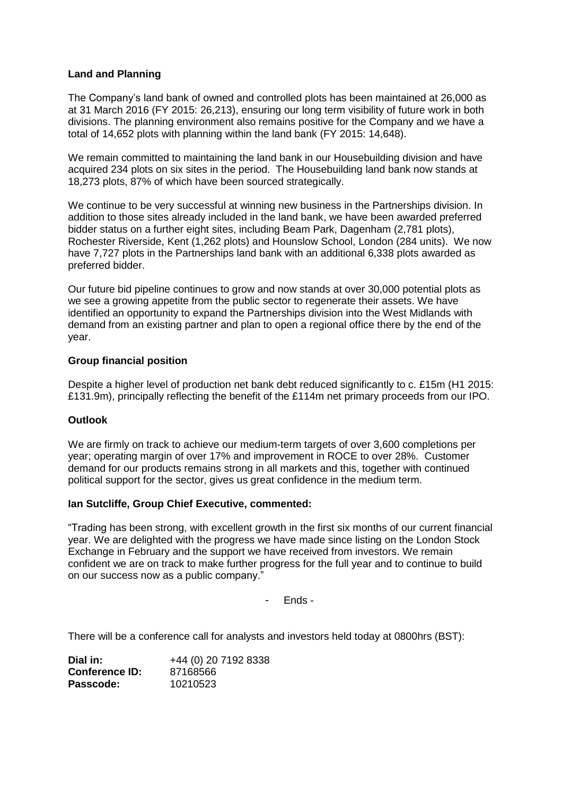### **Land and Planning**

The Company's land bank of owned and controlled plots has been maintained at 26,000 as at 31 March 2016 (FY 2015: 26,213), ensuring our long term visibility of future work in both divisions. The planning environment also remains positive for the Company and we have a total of 14,652 plots with planning within the land bank (FY 2015: 14,648).

We remain committed to maintaining the land bank in our Housebuilding division and have acquired 234 plots on six sites in the period. The Housebuilding land bank now stands at 18,273 plots, 87% of which have been sourced strategically.

We continue to be very successful at winning new business in the Partnerships division. In addition to those sites already included in the land bank, we have been awarded preferred bidder status on a further eight sites, including Beam Park, Dagenham (2,781 plots), Rochester Riverside, Kent (1,262 plots) and Hounslow School, London (284 units). We now have 7,727 plots in the Partnerships land bank with an additional 6,338 plots awarded as preferred bidder.

Our future bid pipeline continues to grow and now stands at over 30,000 potential plots as we see a growing appetite from the public sector to regenerate their assets. We have identified an opportunity to expand the Partnerships division into the West Midlands with demand from an existing partner and plan to open a regional office there by the end of the year.

#### **Group financial position**

Despite a higher level of production net bank debt reduced significantly to c. £15m (H1 2015: £131.9m), principally reflecting the benefit of the £114m net primary proceeds from our IPO.

# **Outlook**

We are firmly on track to achieve our medium-term targets of over 3,600 completions per year; operating margin of over 17% and improvement in ROCE to over 28%. Customer demand for our products remains strong in all markets and this, together with continued political support for the sector, gives us great confidence in the medium term.

#### **Ian Sutcliffe, Group Chief Executive, commented:**

"Trading has been strong, with excellent growth in the first six months of our current financial year. We are delighted with the progress we have made since listing on the London Stock Exchange in February and the support we have received from investors. We remain confident we are on track to make further progress for the full year and to continue to build on our success now as a public company."

- Ends -

There will be a conference call for analysts and investors held today at 0800hrs (BST):

| Dial in:              | +44 (0) 20 7192 8338 |
|-----------------------|----------------------|
| <b>Conference ID:</b> | 87168566             |
| Passcode:             | 10210523             |